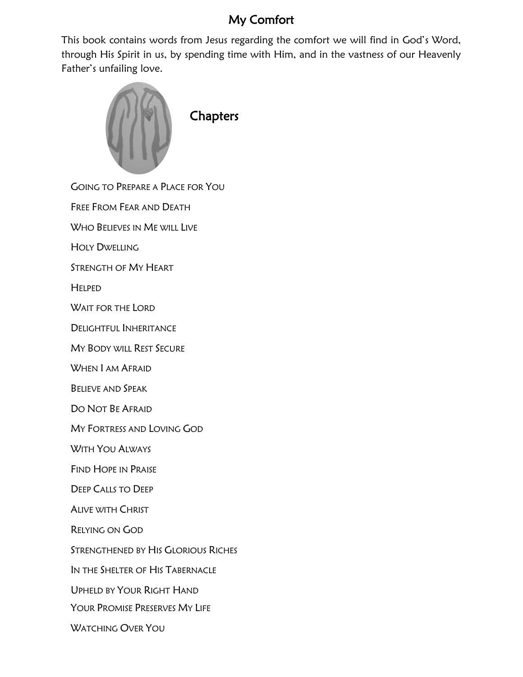#### My Comfort

This book contains words from Jesus regarding the comfort we will find in God's Word, through His Spirit in us, by spending time with Him, and in the vastness of our Heavenly Father's unfailing love.



GOING TO PREPARE A PLACE FOR YOU

FREE FROM FEAR AND DEATH

WHO BELIEVES IN ME WILL LIVE

HOLY DWELLING

STRENGTH OF MY HEART

HELPED

WAIT FOR THE LORD

DELIGHTFUL INHERITANCE

MY BODY WILL REST SECURE

WHEN **I** AM AFRAID

BELIEVE AND SPEAK

DO NOT BE AFRAID

MY FORTRESS AND LOVING GOD

WITH YOU ALWAYS

FIND HOPE IN PRAISE

DEEP CALLS TO DEEP

ALIVE WITH CHRIST

RELYING ON GOD

STRENGTHENED BY HIS GLORIOUS RICHES

IN THE SHELTER OF HIS TABERNACLE

UPHELD BY YOUR RIGHT HAND

YOUR PROMISE PRESERVES MY LIFE

WATCHING OVER YOU